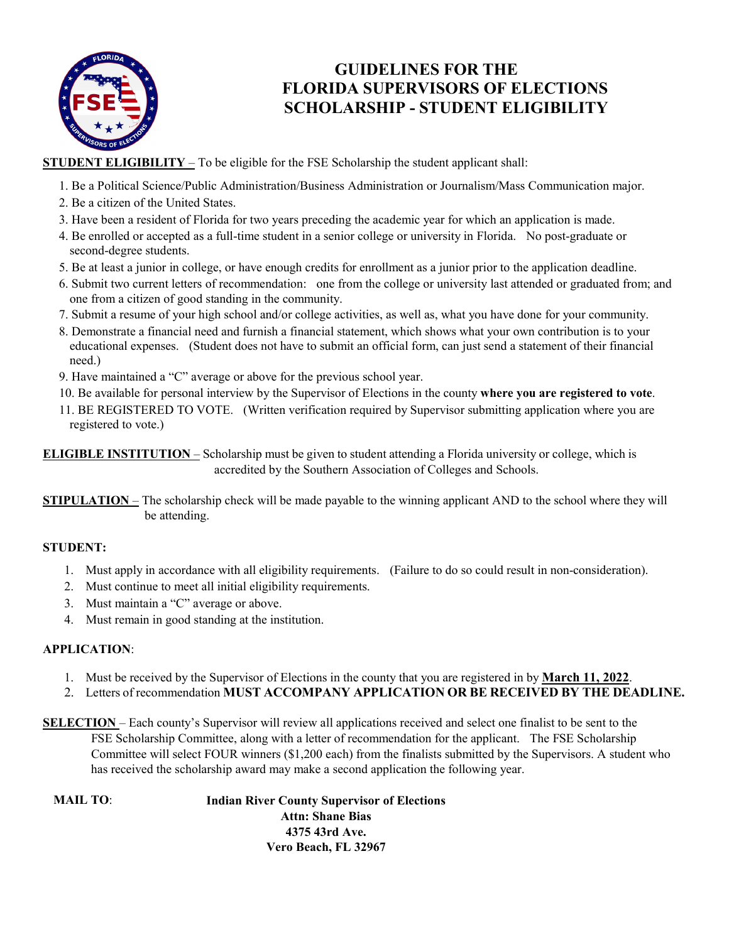

### **GUIDELINES FOR THE FLORIDA SUPERVISORS OF ELECTIONS SCHOLARSHIP - STUDENT ELIGIBILITY**

**STUDENT ELIGIBILITY** – To be eligible for the FSE Scholarship the student applicant shall:

- 1. Be a Political Science/Public Administration/Business Administration or Journalism/Mass Communication major.
- 2. Be a citizen of the United States.
- 3. Have been a resident of Florida for two years preceding the academic year for which an application is made.
- 4. Be enrolled or accepted as a full-time student in a senior college or university in Florida. No post-graduate or second-degree students.
- 5. Be at least a junior in college, or have enough credits for enrollment as a junior prior to the application deadline.
- 6. Submit two current letters of recommendation: one from the college or university last attended or graduated from; and one from a citizen of good standing in the community.
- 7. Submit a resume of your high school and/or college activities, as well as, what you have done for your community.
- 8. Demonstrate a financial need and furnish a financial statement, which shows what your own contribution is to your educational expenses. (Student does not have to submit an official form, can just send a statement of their financial need.)
- 9. Have maintained a "C" average or above for the previous school year.
- 10. Be available for personal interview by the Supervisor of Elections in the county **where you are registered to vote**.
- 11. BE REGISTERED TO VOTE. (Written verification required by Supervisor submitting application where you are registered to vote.)

**ELIGIBLE INSTITUTION** – Scholarship must be given to student attending a Florida university or college, which is accredited by the Southern Association of Colleges and Schools.

**STIPULATION** – The scholarship check will be made payable to the winning applicant AND to the school where they will be attending.

### **STUDENT:**

- 1. Must apply in accordance with all eligibility requirements. (Failure to do so could result in non-consideration).
- 2. Must continue to meet all initial eligibility requirements.
- 3. Must maintain a "C" average or above.
- 4. Must remain in good standing at the institution.

#### **APPLICATION**:

- 1. Must be received by the Supervisor of Elections in the county that you are registered in by **March 11, 2022**.
- 2. Letters of recommendation **MUST ACCOMPANY APPLICATION OR BE RECEIVED BY THE DEADLINE.**
- **SELECTION**  Each county's Supervisor will review all applications received and select one finalist to be sent to the FSE Scholarship Committee, along with a letter of recommendation for the applicant. The FSE Scholarship Committee will select FOUR winners (\$1,200 each) from the finalists submitted by the Supervisors. A student who has received the scholarship award may make a second application the following year.

**MAIL TO**: **Indian River County Supervisor of Elections Attn: Shane Bias 4375 43rd Ave. Vero Beach, FL 32967**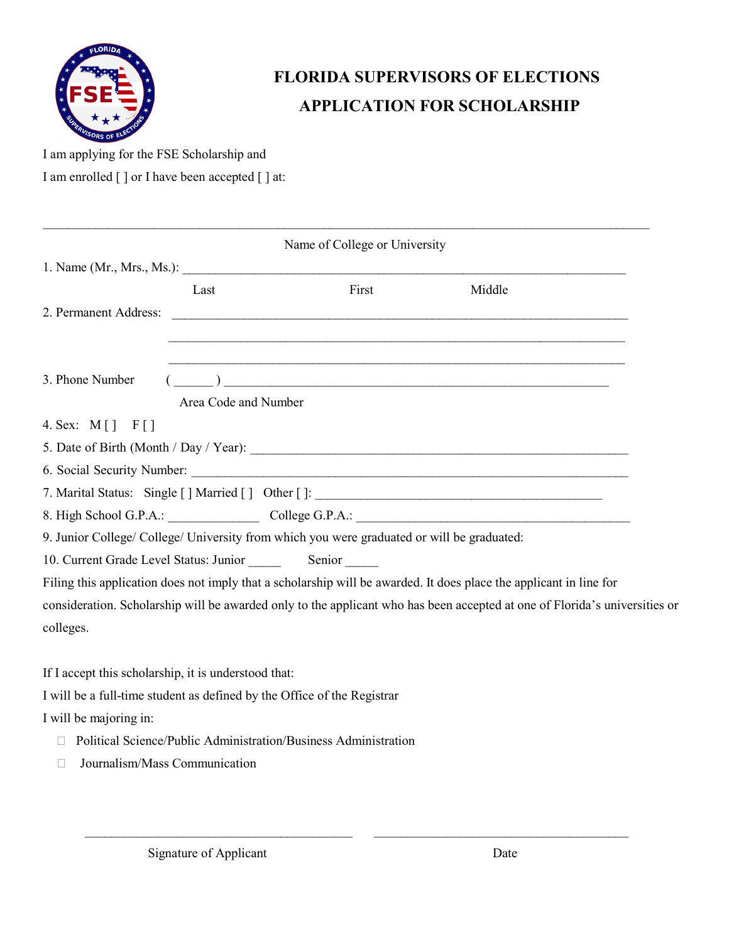

# **FLORIDA SUPERVISORS OF ELECTIONS APPLICATION FOR SCHOLARSHIP**

I am applying for the FSE Scholarship and I am enrolled [ ] or I have been accepted [ ] at:

|                                                      |                      | Name of College or University                                                                                         |                                                                                                                            |
|------------------------------------------------------|----------------------|-----------------------------------------------------------------------------------------------------------------------|----------------------------------------------------------------------------------------------------------------------------|
|                                                      |                      | 1. Name (Mr., Mrs., Ms.):                                                                                             |                                                                                                                            |
|                                                      | Last                 | First                                                                                                                 | Middle                                                                                                                     |
|                                                      |                      |                                                                                                                       |                                                                                                                            |
|                                                      |                      |                                                                                                                       |                                                                                                                            |
|                                                      |                      |                                                                                                                       |                                                                                                                            |
| 3. Phone Number                                      |                      | $\overline{(\hspace{.1cm}\underline{\hspace{.1cm}}\hspace{.1cm} )}$ $\overline{\phantom{.} \phantom{.} \phantom{\,}}$ |                                                                                                                            |
|                                                      | Area Code and Number |                                                                                                                       |                                                                                                                            |
| 4. Sex: $M[\ ]$ F[]                                  |                      |                                                                                                                       |                                                                                                                            |
|                                                      |                      |                                                                                                                       |                                                                                                                            |
|                                                      |                      |                                                                                                                       |                                                                                                                            |
|                                                      |                      | 7. Marital Status: Single [] Married [] Other []: _______________________________                                     |                                                                                                                            |
|                                                      |                      |                                                                                                                       | 8. High School G.P.A.: College G.P.A.: College G.P.A.:                                                                     |
|                                                      |                      | 9. Junior College/ College/ University from which you were graduated or will be graduated:                            |                                                                                                                            |
|                                                      |                      |                                                                                                                       |                                                                                                                            |
|                                                      |                      |                                                                                                                       | Filing this application does not imply that a scholarship will be awarded. It does place the applicant in line for         |
|                                                      |                      |                                                                                                                       | consideration. Scholarship will be awarded only to the applicant who has been accepted at one of Florida's universities or |
| colleges.                                            |                      |                                                                                                                       |                                                                                                                            |
|                                                      |                      |                                                                                                                       |                                                                                                                            |
| If I accept this scholarship, it is understood that: |                      |                                                                                                                       |                                                                                                                            |
|                                                      |                      | I will be a full-time student as defined by the Office of the Registrar                                               |                                                                                                                            |
| I will be majoring in:                               |                      |                                                                                                                       |                                                                                                                            |
|                                                      |                      | Political Science/Public Administration/Business Administration                                                       |                                                                                                                            |
|                                                      |                      |                                                                                                                       |                                                                                                                            |

 $\mathcal{L}_\mathcal{L} = \mathcal{L}_\mathcal{L} = \mathcal{L}_\mathcal{L} = \mathcal{L}_\mathcal{L} = \mathcal{L}_\mathcal{L} = \mathcal{L}_\mathcal{L} = \mathcal{L}_\mathcal{L} = \mathcal{L}_\mathcal{L} = \mathcal{L}_\mathcal{L} = \mathcal{L}_\mathcal{L} = \mathcal{L}_\mathcal{L} = \mathcal{L}_\mathcal{L} = \mathcal{L}_\mathcal{L} = \mathcal{L}_\mathcal{L} = \mathcal{L}_\mathcal{L} = \mathcal{L}_\mathcal{L} = \mathcal{L}_\mathcal{L}$ 

□ Journalism/Mass Communication

\_\_\_\_\_\_\_\_\_\_\_\_\_\_\_\_\_\_\_\_\_\_\_\_\_\_\_\_\_\_\_\_\_\_\_\_\_\_\_\_\_